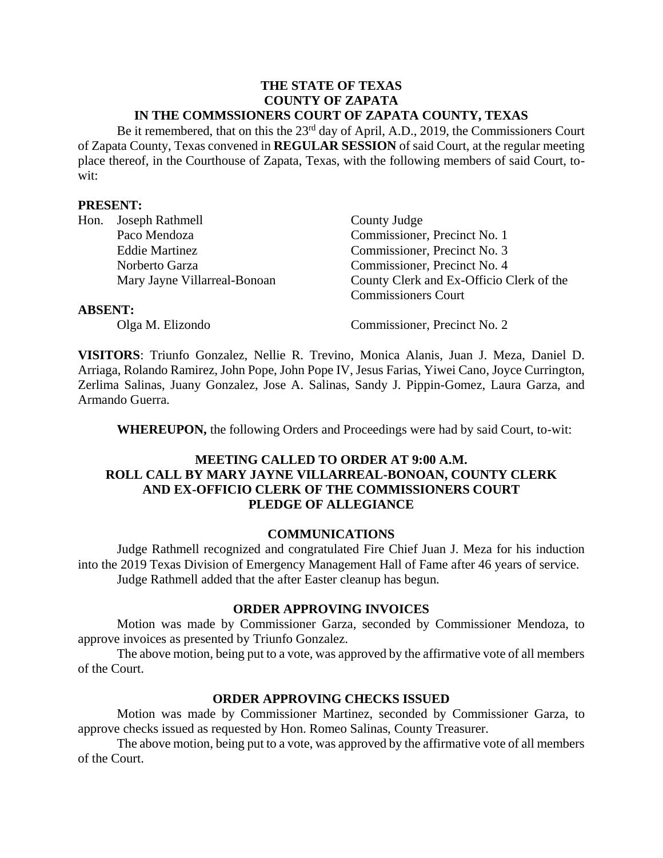#### **THE STATE OF TEXAS COUNTY OF ZAPATA IN THE COMMSSIONERS COURT OF ZAPATA COUNTY, TEXAS**

Be it remembered, that on this the 23<sup>rd</sup> day of April, A.D., 2019, the Commissioners Court of Zapata County, Texas convened in **REGULAR SESSION** of said Court, at the regular meeting place thereof, in the Courthouse of Zapata, Texas, with the following members of said Court, towit:

#### **PRESENT:**

| Hon.           | Joseph Rathmell              | County Judge                             |
|----------------|------------------------------|------------------------------------------|
|                | Paco Mendoza                 | Commissioner, Precinct No. 1             |
|                | <b>Eddie Martinez</b>        | Commissioner, Precinct No. 3             |
|                | Norberto Garza               | Commissioner, Precinct No. 4             |
|                | Mary Jayne Villarreal-Bonoan | County Clerk and Ex-Officio Clerk of the |
|                |                              | <b>Commissioners Court</b>               |
| <b>ABSENT:</b> |                              |                                          |
|                | Olga M. Elizondo             | Commissioner, Precinct No. 2             |

**VISITORS**: Triunfo Gonzalez, Nellie R. Trevino, Monica Alanis, Juan J. Meza, Daniel D. Arriaga, Rolando Ramirez, John Pope, John Pope IV, Jesus Farias, Yiwei Cano, Joyce Currington, Zerlima Salinas, Juany Gonzalez, Jose A. Salinas, Sandy J. Pippin-Gomez, Laura Garza, and Armando Guerra.

**WHEREUPON,** the following Orders and Proceedings were had by said Court, to-wit:

# **MEETING CALLED TO ORDER AT 9:00 A.M. ROLL CALL BY MARY JAYNE VILLARREAL-BONOAN, COUNTY CLERK AND EX-OFFICIO CLERK OF THE COMMISSIONERS COURT PLEDGE OF ALLEGIANCE**

#### **COMMUNICATIONS**

Judge Rathmell recognized and congratulated Fire Chief Juan J. Meza for his induction into the 2019 Texas Division of Emergency Management Hall of Fame after 46 years of service. Judge Rathmell added that the after Easter cleanup has begun.

#### **ORDER APPROVING INVOICES**

Motion was made by Commissioner Garza, seconded by Commissioner Mendoza, to approve invoices as presented by Triunfo Gonzalez.

The above motion, being put to a vote, was approved by the affirmative vote of all members of the Court.

#### **ORDER APPROVING CHECKS ISSUED**

Motion was made by Commissioner Martinez, seconded by Commissioner Garza, to approve checks issued as requested by Hon. Romeo Salinas, County Treasurer.

The above motion, being put to a vote, was approved by the affirmative vote of all members of the Court.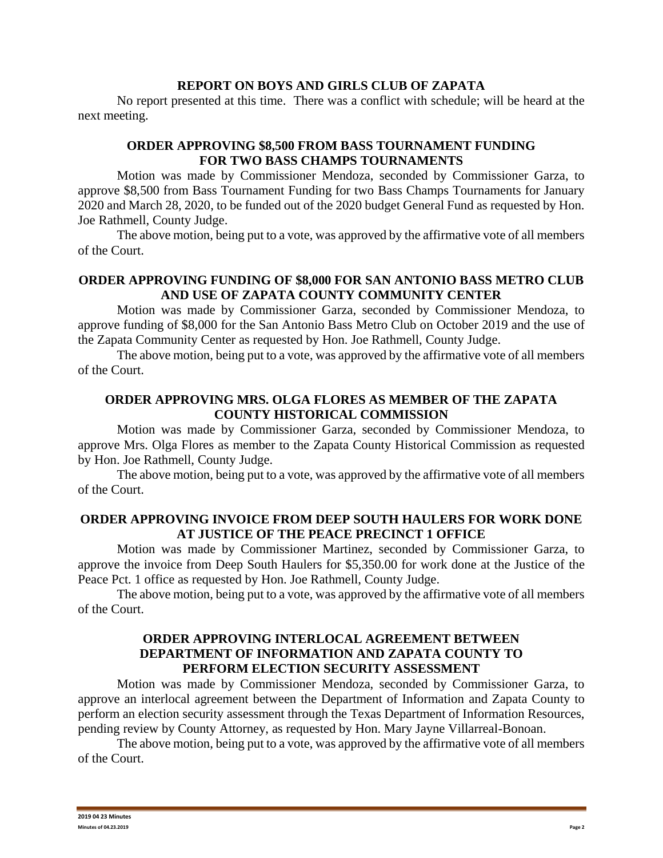#### **REPORT ON BOYS AND GIRLS CLUB OF ZAPATA**

No report presented at this time. There was a conflict with schedule; will be heard at the next meeting.

# **ORDER APPROVING \$8,500 FROM BASS TOURNAMENT FUNDING FOR TWO BASS CHAMPS TOURNAMENTS**

Motion was made by Commissioner Mendoza, seconded by Commissioner Garza, to approve \$8,500 from Bass Tournament Funding for two Bass Champs Tournaments for January 2020 and March 28, 2020, to be funded out of the 2020 budget General Fund as requested by Hon. Joe Rathmell, County Judge.

The above motion, being put to a vote, was approved by the affirmative vote of all members of the Court.

### **ORDER APPROVING FUNDING OF \$8,000 FOR SAN ANTONIO BASS METRO CLUB AND USE OF ZAPATA COUNTY COMMUNITY CENTER**

Motion was made by Commissioner Garza, seconded by Commissioner Mendoza, to approve funding of \$8,000 for the San Antonio Bass Metro Club on October 2019 and the use of the Zapata Community Center as requested by Hon. Joe Rathmell, County Judge.

The above motion, being put to a vote, was approved by the affirmative vote of all members of the Court.

### **ORDER APPROVING MRS. OLGA FLORES AS MEMBER OF THE ZAPATA COUNTY HISTORICAL COMMISSION**

Motion was made by Commissioner Garza, seconded by Commissioner Mendoza, to approve Mrs. Olga Flores as member to the Zapata County Historical Commission as requested by Hon. Joe Rathmell, County Judge.

The above motion, being put to a vote, was approved by the affirmative vote of all members of the Court.

#### **ORDER APPROVING INVOICE FROM DEEP SOUTH HAULERS FOR WORK DONE AT JUSTICE OF THE PEACE PRECINCT 1 OFFICE**

Motion was made by Commissioner Martinez, seconded by Commissioner Garza, to approve the invoice from Deep South Haulers for \$5,350.00 for work done at the Justice of the Peace Pct. 1 office as requested by Hon. Joe Rathmell, County Judge.

The above motion, being put to a vote, was approved by the affirmative vote of all members of the Court.

### **ORDER APPROVING INTERLOCAL AGREEMENT BETWEEN DEPARTMENT OF INFORMATION AND ZAPATA COUNTY TO PERFORM ELECTION SECURITY ASSESSMENT**

Motion was made by Commissioner Mendoza, seconded by Commissioner Garza, to approve an interlocal agreement between the Department of Information and Zapata County to perform an election security assessment through the Texas Department of Information Resources, pending review by County Attorney, as requested by Hon. Mary Jayne Villarreal-Bonoan.

The above motion, being put to a vote, was approved by the affirmative vote of all members of the Court.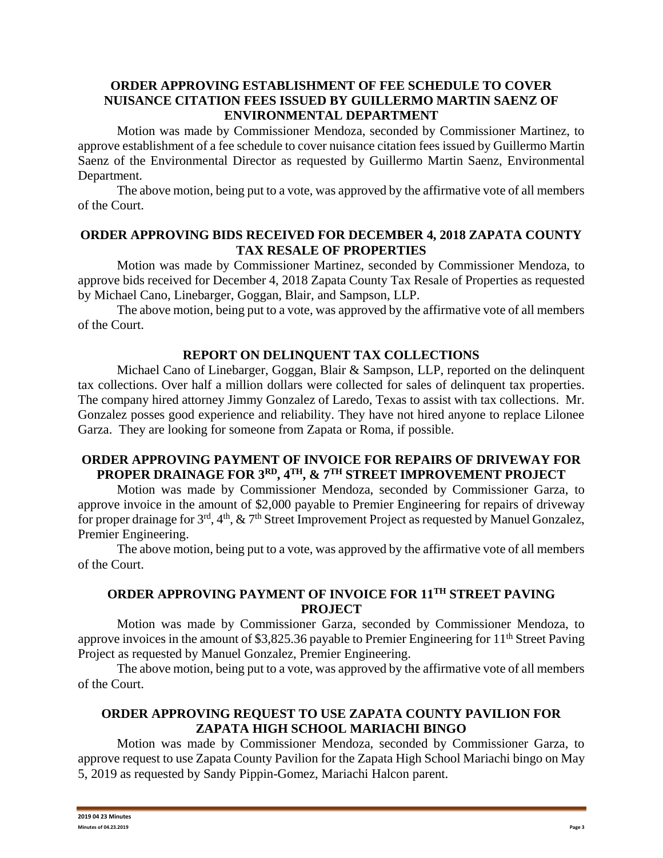## **ORDER APPROVING ESTABLISHMENT OF FEE SCHEDULE TO COVER NUISANCE CITATION FEES ISSUED BY GUILLERMO MARTIN SAENZ OF ENVIRONMENTAL DEPARTMENT**

Motion was made by Commissioner Mendoza, seconded by Commissioner Martinez, to approve establishment of a fee schedule to cover nuisance citation fees issued by Guillermo Martin Saenz of the Environmental Director as requested by Guillermo Martin Saenz, Environmental Department.

The above motion, being put to a vote, was approved by the affirmative vote of all members of the Court.

### **ORDER APPROVING BIDS RECEIVED FOR DECEMBER 4, 2018 ZAPATA COUNTY TAX RESALE OF PROPERTIES**

Motion was made by Commissioner Martinez, seconded by Commissioner Mendoza, to approve bids received for December 4, 2018 Zapata County Tax Resale of Properties as requested by Michael Cano, Linebarger, Goggan, Blair, and Sampson, LLP.

The above motion, being put to a vote, was approved by the affirmative vote of all members of the Court.

# **REPORT ON DELINQUENT TAX COLLECTIONS**

Michael Cano of Linebarger, Goggan, Blair & Sampson, LLP, reported on the delinquent tax collections. Over half a million dollars were collected for sales of delinquent tax properties. The company hired attorney Jimmy Gonzalez of Laredo, Texas to assist with tax collections. Mr. Gonzalez posses good experience and reliability. They have not hired anyone to replace Lilonee Garza. They are looking for someone from Zapata or Roma, if possible.

### **ORDER APPROVING PAYMENT OF INVOICE FOR REPAIRS OF DRIVEWAY FOR PROPER DRAINAGE FOR 3RD, 4TH, & 7TH STREET IMPROVEMENT PROJECT**

Motion was made by Commissioner Mendoza, seconded by Commissioner Garza, to approve invoice in the amount of \$2,000 payable to Premier Engineering for repairs of driveway for proper drainage for 3<sup>rd</sup>, 4<sup>th</sup>, & 7<sup>th</sup> Street Improvement Project as requested by Manuel Gonzalez, Premier Engineering.

The above motion, being put to a vote, was approved by the affirmative vote of all members of the Court.

# **ORDER APPROVING PAYMENT OF INVOICE FOR 11TH STREET PAVING PROJECT**

Motion was made by Commissioner Garza, seconded by Commissioner Mendoza, to approve invoices in the amount of \$3,825.36 payable to Premier Engineering for 11<sup>th</sup> Street Paving Project as requested by Manuel Gonzalez, Premier Engineering.

The above motion, being put to a vote, was approved by the affirmative vote of all members of the Court.

### **ORDER APPROVING REQUEST TO USE ZAPATA COUNTY PAVILION FOR ZAPATA HIGH SCHOOL MARIACHI BINGO**

Motion was made by Commissioner Mendoza, seconded by Commissioner Garza, to approve request to use Zapata County Pavilion for the Zapata High School Mariachi bingo on May 5, 2019 as requested by Sandy Pippin-Gomez, Mariachi Halcon parent.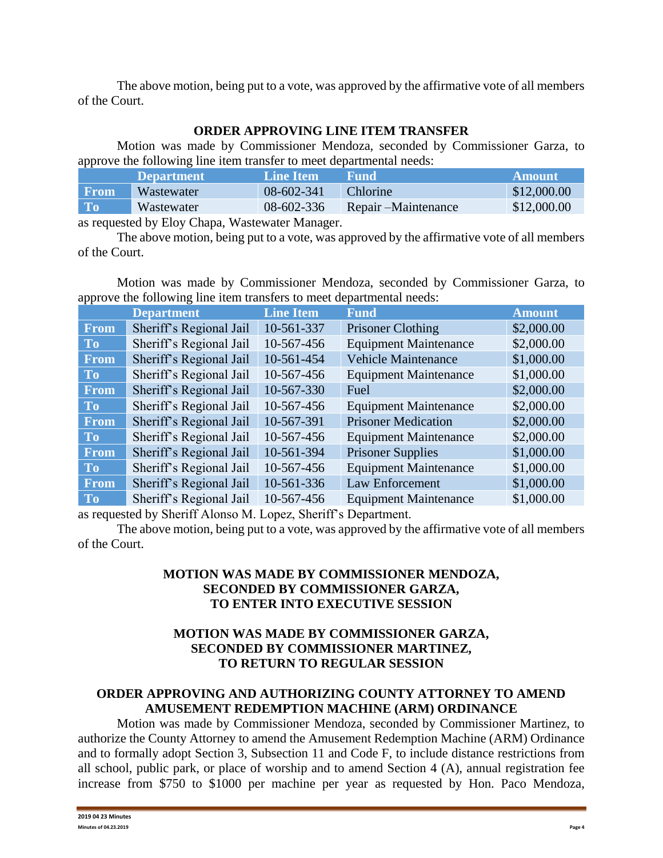The above motion, being put to a vote, was approved by the affirmative vote of all members of the Court.

#### **ORDER APPROVING LINE ITEM TRANSFER**

Motion was made by Commissioner Mendoza, seconded by Commissioner Garza, to approve the following line item transfer to meet departmental needs:

|           | <b>Department</b>          | <b>Line Item</b> | Fund                 | <b>Amount</b> |
|-----------|----------------------------|------------------|----------------------|---------------|
| From      | Wastewater                 | 08-602-341       | <b>Chlorine</b>      | \$12,000.00   |
| <b>To</b> | Wastewater                 | 08-602-336       | Repair – Maintenance | \$12,000.00   |
|           | $\cdot$ 11 $\overline{m1}$ |                  |                      |               |

as requested by Eloy Chapa, Wastewater Manager.

The above motion, being put to a vote, was approved by the affirmative vote of all members of the Court.

Motion was made by Commissioner Mendoza, seconded by Commissioner Garza, to approve the following line item transfers to meet departmental needs:

|             | <b>Department</b>       | <b>Line Item</b> | <b>Fund</b>                  | <b>Amount</b> |
|-------------|-------------------------|------------------|------------------------------|---------------|
| <b>From</b> | Sheriff's Regional Jail | 10-561-337       | <b>Prisoner Clothing</b>     | \$2,000.00    |
| <b>To</b>   | Sheriff's Regional Jail | 10-567-456       | <b>Equipment Maintenance</b> | \$2,000.00    |
| <b>From</b> | Sheriff's Regional Jail | 10-561-454       | <b>Vehicle Maintenance</b>   | \$1,000.00    |
| <b>To</b>   | Sheriff's Regional Jail | 10-567-456       | <b>Equipment Maintenance</b> | \$1,000.00    |
| From        | Sheriff's Regional Jail | 10-567-330       | Fuel                         | \$2,000.00    |
| <b>To</b>   | Sheriff's Regional Jail | 10-567-456       | <b>Equipment Maintenance</b> | \$2,000.00    |
| <b>From</b> | Sheriff's Regional Jail | 10-567-391       | <b>Prisoner Medication</b>   | \$2,000.00    |
| To          | Sheriff's Regional Jail | 10-567-456       | <b>Equipment Maintenance</b> | \$2,000.00    |
| From        | Sheriff's Regional Jail | 10-561-394       | <b>Prisoner Supplies</b>     | \$1,000.00    |
| <b>To</b>   | Sheriff's Regional Jail | 10-567-456       | <b>Equipment Maintenance</b> | \$1,000.00    |
| <b>From</b> | Sheriff's Regional Jail | 10-561-336       | Law Enforcement              | \$1,000.00    |
| <b>To</b>   | Sheriff's Regional Jail | 10-567-456       | <b>Equipment Maintenance</b> | \$1,000.00    |

as requested by Sheriff Alonso M. Lopez, Sheriff's Department.

The above motion, being put to a vote, was approved by the affirmative vote of all members of the Court.

# **MOTION WAS MADE BY COMMISSIONER MENDOZA, SECONDED BY COMMISSIONER GARZA, TO ENTER INTO EXECUTIVE SESSION**

## **MOTION WAS MADE BY COMMISSIONER GARZA, SECONDED BY COMMISSIONER MARTINEZ, TO RETURN TO REGULAR SESSION**

# **ORDER APPROVING AND AUTHORIZING COUNTY ATTORNEY TO AMEND AMUSEMENT REDEMPTION MACHINE (ARM) ORDINANCE**

Motion was made by Commissioner Mendoza, seconded by Commissioner Martinez, to authorize the County Attorney to amend the Amusement Redemption Machine (ARM) Ordinance and to formally adopt Section 3, Subsection 11 and Code F, to include distance restrictions from all school, public park, or place of worship and to amend Section 4 (A), annual registration fee increase from \$750 to \$1000 per machine per year as requested by Hon. Paco Mendoza,